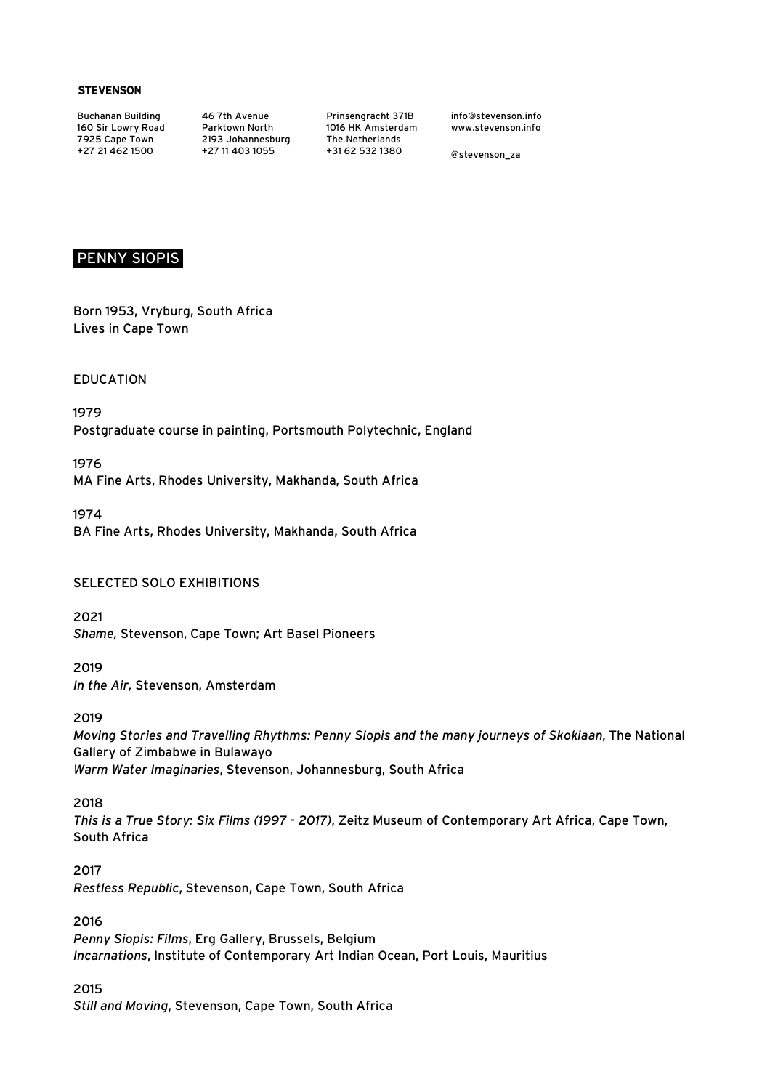#### **STEVENSON**

Buchanan Building 160 Sir Lowry Road 7925 Cape Town +27 21 462 1500

46 7th Avenue Parktown North 2193 Johannesburg +27 11 403 1055

Prinsengracht 371B 1016 HK Amsterdam The Netherlands +31 62 532 1380

info@stevenson.info www.stevenson.info

@stevenson\_za

### PENNY SIOPIS

Born 1953, Vryburg, South Africa Lives in Cape Town

EDUCATION

1979 Postgraduate course in painting, Portsmouth Polytechnic, England

1976 MA Fine Arts, Rhodes University, Makhanda, South Africa

1974 BA Fine Arts, Rhodes University, Makhanda, South Africa

### SELECTED SOLO EXHIBITIONS

2021 *Shame,* Stevenson, Cape Town; Art Basel Pioneers

2019 *In the Air,* Stevenson, Amsterdam

#### 2019

*Moving Stories and Travelling Rhythms: Penny Siopis and the many journeys of Skokiaan*, The National Gallery of Zimbabwe in Bulawayo *Warm Water Imaginaries*, Stevenson, Johannesburg, South Africa

#### 2018

*This is a True Story: Six Films (1997 - 2017)*, Zeitz Museum of Contemporary Art Africa, Cape Town, South Africa

2017 *Restless Republic*, Stevenson, Cape Town, South Africa

#### 2016

*Penny Siopis: Films*, Erg Gallery, Brussels, Belgium *Incarnations*, Institute of Contemporary Art Indian Ocean, Port Louis, Mauritius

#### 2015

*Still and Moving*, Stevenson, Cape Town, South Africa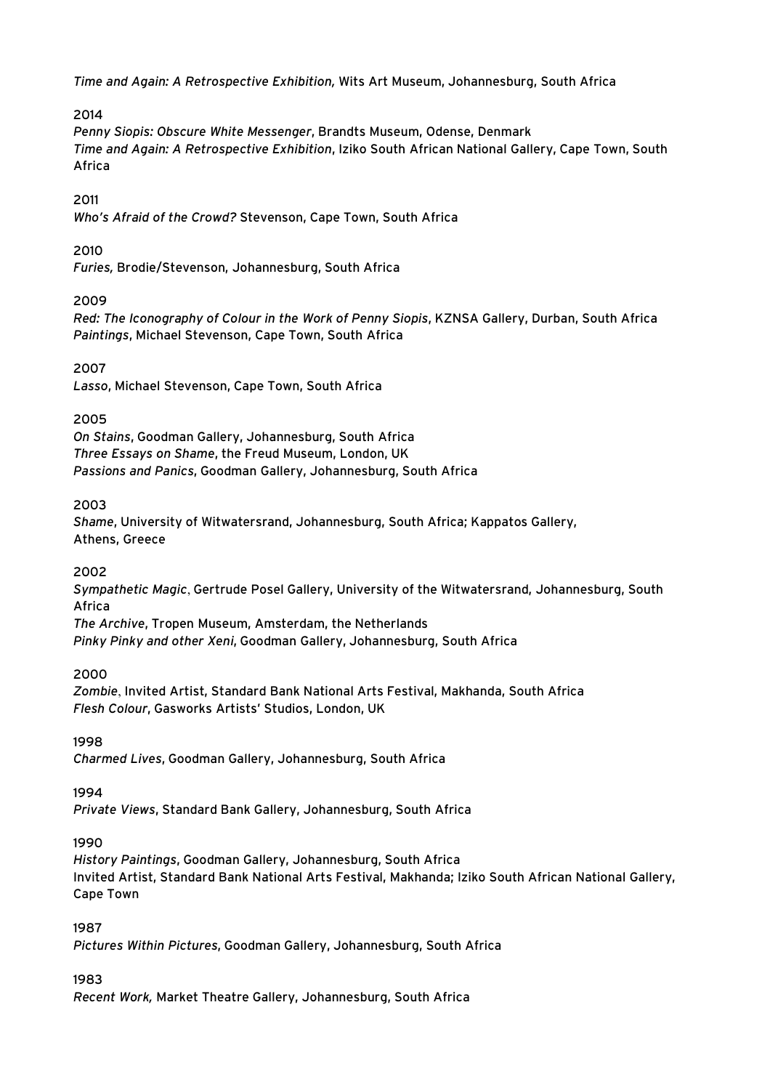*Time and Again: A Retrospective Exhibition,* Wits Art Museum, Johannesburg, South Africa

# 2014

*Penny Siopis: Obscure White Messenger*, Brandts Museum, Odense, Denmark *Time and Again: A Retrospective Exhibition*, Iziko South African National Gallery, Cape Town, South Africa

### 2011

*Who's Afraid of the Crowd?* Stevenson, Cape Town, South Africa

### 2010

*Furies,* Brodie/Stevenson, Johannesburg, South Africa

# 2009

*Red: The Iconography of Colour in the Work of Penny Siopis*, KZNSA Gallery, Durban, South Africa *Paintings*, Michael Stevenson, Cape Town, South Africa

### 2007

*Lasso*, Michael Stevenson, Cape Town, South Africa

### 2005

*On Stains*, Goodman Gallery, Johannesburg, South Africa *Three Essays on Shame*, the Freud Museum, London, UK *Passions and Panics*, Goodman Gallery, Johannesburg, South Africa

### 2003

*Shame*, University of Witwatersrand, Johannesburg, South Africa; Kappatos Gallery, Athens, Greece

### 2002

*Sympathetic Magic*, Gertrude Posel Gallery, University of the Witwatersrand, Johannesburg, South Africa

*The Archive*, Tropen Museum, Amsterdam, the Netherlands

*Pinky Pinky and other Xeni*, Goodman Gallery, Johannesburg, South Africa

### 2000

*Zombie*, Invited Artist, Standard Bank National Arts Festival, Makhanda, South Africa *Flesh Colour*, Gasworks Artists' Studios, London, UK

### 1998

*Charmed Lives*, Goodman Gallery, Johannesburg, South Africa

### 1994

*Private Views*, Standard Bank Gallery, Johannesburg, South Africa

# 1990

*History Paintings*, Goodman Gallery, Johannesburg, South Africa Invited Artist, Standard Bank National Arts Festival, Makhanda; Iziko South African National Gallery, Cape Town

### 1987

*Pictures Within Pictures*, Goodman Gallery, Johannesburg, South Africa

# 1983

*Recent Work,* Market Theatre Gallery, Johannesburg, South Africa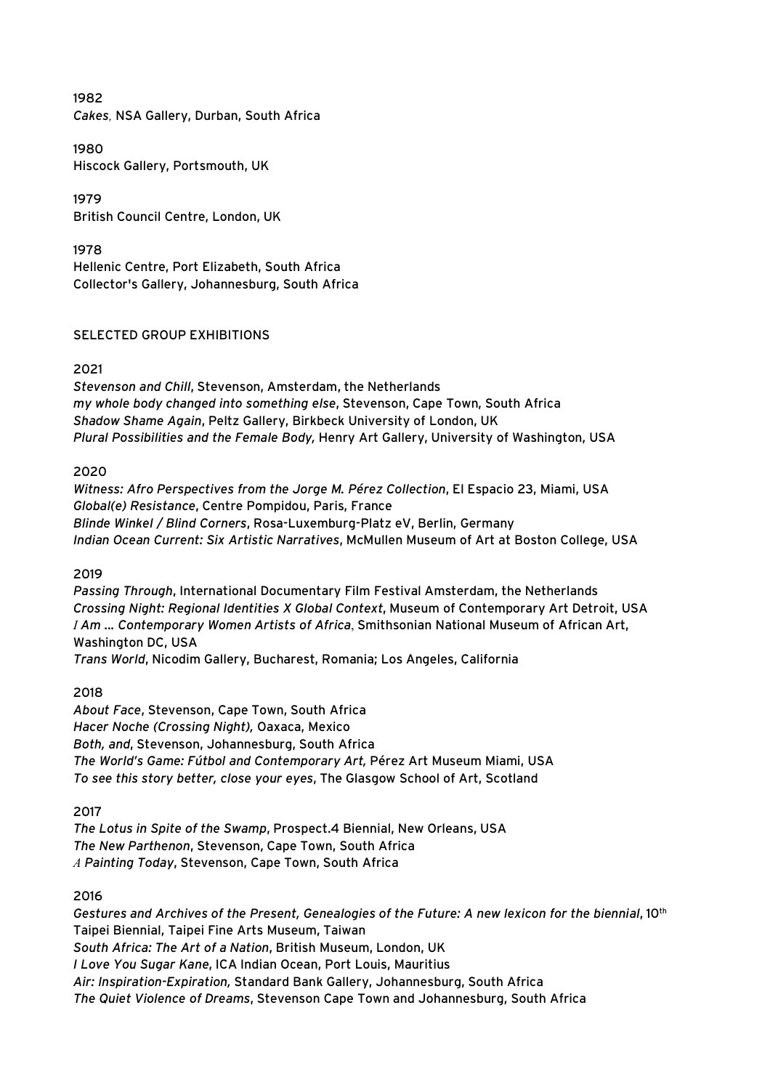1982 *Cakes,* NSA Gallery, Durban, South Africa

1980 Hiscock Gallery, Portsmouth, UK

1979 British Council Centre, London, UK

1978 Hellenic Centre, Port Elizabeth, South Africa Collector's Gallery, Johannesburg, South Africa

### SELECTED GROUP EXHIBITIONS

### 2021

*Stevenson and Chill*, Stevenson, Amsterdam, the Netherlands *my whole body changed into something else*, Stevenson, Cape Town, South Africa *Shadow Shame Again*, Peltz Gallery, Birkbeck University of London, UK *Plural Possibilities and the Female Body,* Henry Art Gallery, University of Washington, USA

### 2020

*Witness: Afro Perspectives from the Jorge M. Pérez Collection*, El Espacio 23, Miami, USA *Global(e) Resistance*, Centre Pompidou, Paris, France *Blinde Winkel / Blind Corners*, Rosa-Luxemburg-Platz eV, Berlin, Germany *Indian Ocean Current: Six Artistic Narratives*, McMullen Museum of Art at Boston College, USA

### 2019

*Passing Through*, International Documentary Film Festival Amsterdam, the Netherlands *Crossing Night: Regional Identities X Global Context*, Museum of Contemporary Art Detroit, USA *I Am ... Contemporary Women Artists of Africa*, Smithsonian National Museum of African Art, Washington DC, USA *Trans World*, Nicodim Gallery, Bucharest, Romania; Los Angeles, California

### 2018

*About Face*, Stevenson, Cape Town, South Africa *Hacer Noche (Crossing Night),* Oaxaca, Mexico *Both, and*, Stevenson, Johannesburg, South Africa *The World's Game: Fútbol and Contemporary Art,* Pérez Art Museum Miami, USA *To see this story better, close your eyes*, The Glasgow School of Art, Scotland

2017

*The Lotus in Spite of the Swamp*, Prospect.4 Biennial, New Orleans, USA *The New Parthenon*, Stevenson, Cape Town, South Africa *A Painting Today*, Stevenson, Cape Town, South Africa

### 2016

*Gestures and Archives of the Present, Genealogies of the Future: A new lexicon for the biennial*, 10th Taipei Biennial, Taipei Fine Arts Museum, Taiwan *South Africa: The Art of a Nation*, British Museum, London, UK *I Love You Sugar Kane*, ICA Indian Ocean, Port Louis, Mauritius *Air: Inspiration-Expiration,* Standard Bank Gallery, Johannesburg, South Africa *The Quiet Violence of Dreams*, Stevenson Cape Town and Johannesburg, South Africa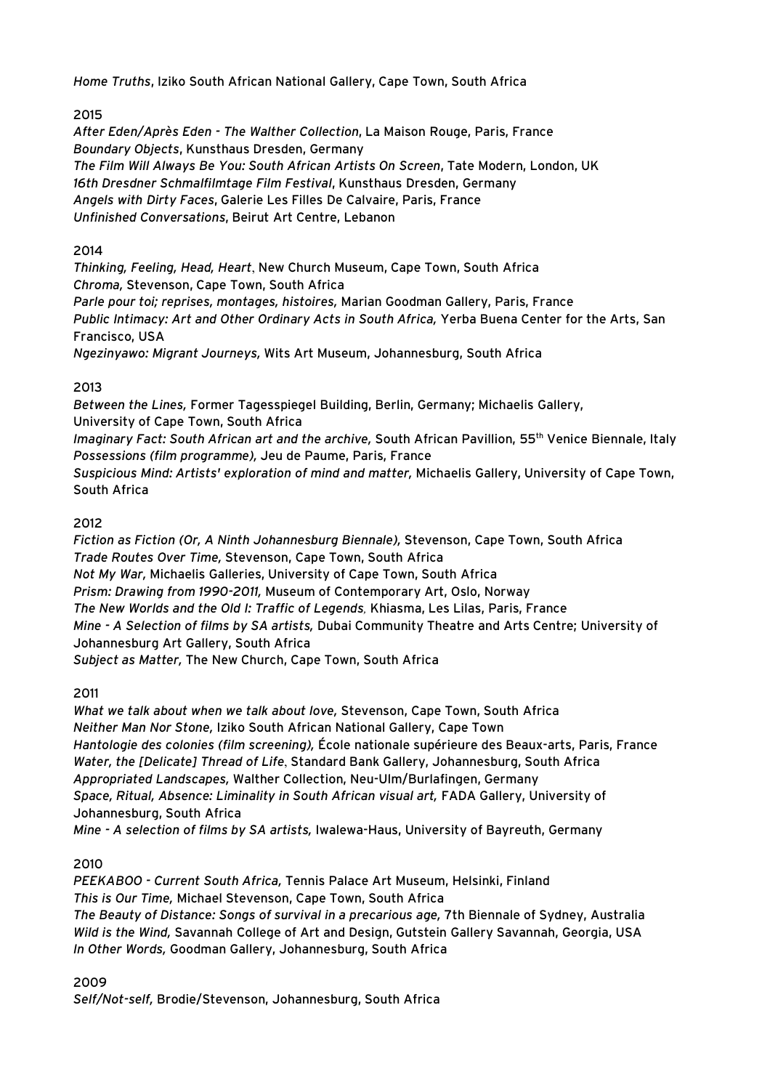*Home Truths*, Iziko South African National Gallery, Cape Town, South Africa

# 2015

*After Eden/Après Eden - The Walther Collection*, La Maison Rouge, Paris, France *Boundary Objects*, Kunsthaus Dresden, Germany *The Film Will Always Be You: South African Artists On Screen*, Tate Modern, London, UK *16th Dresdner Schmalfilmtage Film Festival*, Kunsthaus Dresden, Germany *Angels with Dirty Faces*, Galerie Les Filles De Calvaire, Paris, France *Unfinished Conversations*, Beirut Art Centre, Lebanon

# 2014

*Thinking, Feeling, Head, Heart*, New Church Museum, Cape Town, South Africa *Chroma,* Stevenson, Cape Town, South Africa *Parle pour toi; reprises, montages, histoires,* Marian Goodman Gallery, Paris, France *Public Intimacy: Art and Other Ordinary Acts in South Africa,* Yerba Buena Center for the Arts, San Francisco, USA *Ngezinyawo: Migrant Journeys,* Wits Art Museum, Johannesburg, South Africa

# 2013

*Between the Lines,* Former Tagesspiegel Building, Berlin, Germany; Michaelis Gallery, University of Cape Town, South Africa *Imaginary Fact: South African art and the archive,* South African Pavillion, 55th Venice Biennale, Italy *Possessions (film programme),* Jeu de Paume, Paris, France *Suspicious Mind: Artists' exploration of mind and matter,* Michaelis Gallery, University of Cape Town, South Africa

# 2012

*Fiction as Fiction (Or, A Ninth Johannesburg Biennale),* Stevenson, Cape Town, South Africa *Trade Routes Over Time,* Stevenson, Cape Town, South Africa *Not My War,* Michaelis Galleries, University of Cape Town, South Africa *Prism: Drawing from 1990-2011,* Museum of Contemporary Art, Oslo, Norway *The New Worlds and the Old I: Traffic of Legends,* Khiasma, Les Lilas, Paris, France *Mine - A Selection of films by SA artists,* Dubai Community Theatre and Arts Centre; University of Johannesburg Art Gallery, South Africa *Subject as Matter,* The New Church, Cape Town, South Africa

### 2011

*What we talk about when we talk about love,* Stevenson, Cape Town, South Africa *Neither Man Nor Stone,* Iziko South African National Gallery, Cape Town *Hantologie des colonies (film screening),* École nationale supérieure des Beaux-arts, Paris, France *Water, the [Delicate] Thread of Life*, Standard Bank Gallery, Johannesburg, South Africa *Appropriated Landscapes,* Walther Collection, Neu-Ulm/Burlafingen, Germany *Space, Ritual, Absence: Liminality in South African visual art,* FADA Gallery, University of Johannesburg, South Africa

*Mine - A selection of films by SA artists,* Iwalewa-Haus, University of Bayreuth, Germany

# 2010

*PEEKABOO - Current South Africa,* Tennis Palace Art Museum, Helsinki, Finland *This is Our Time,* Michael Stevenson, Cape Town, South Africa *The Beauty of Distance: Songs of survival in a precarious age,* 7th Biennale of Sydney, Australia *Wild is the Wind,* Savannah College of Art and Design, Gutstein Gallery Savannah, Georgia, USA *In Other Words,* Goodman Gallery, Johannesburg, South Africa

2009

*Self/Not-self,* Brodie/Stevenson, Johannesburg, South Africa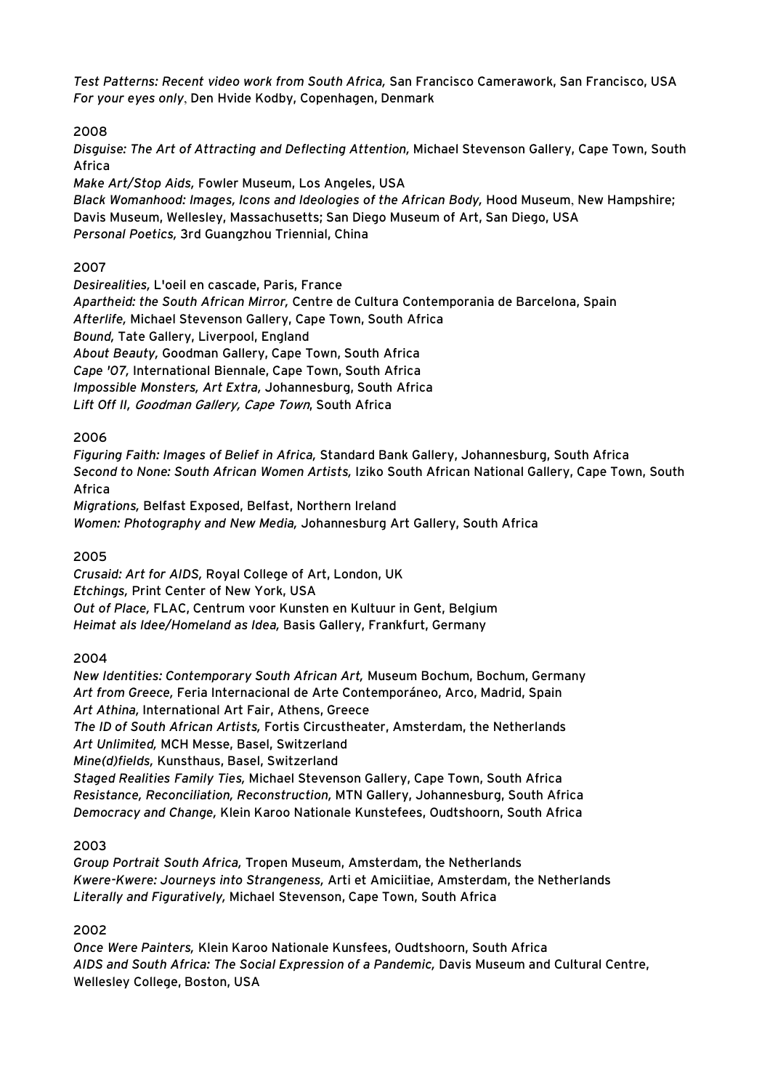*Test Patterns: Recent video work from South Africa,* San Francisco Camerawork, San Francisco, USA *For your eyes only*, Den Hvide Kodby, Copenhagen, Denmark

2008

*Disguise: The Art of Attracting and Deflecting Attention,* Michael Stevenson Gallery, Cape Town, South Africa

*Make Art/Stop Aids,* Fowler Museum, Los Angeles, USA

*Black Womanhood: Images, Icons and Ideologies of the African Body,* Hood Museum, New Hampshire; Davis Museum, Wellesley, Massachusetts; San Diego Museum of Art, San Diego, USA *Personal Poetics,* 3rd Guangzhou Triennial, China

### 2007

*Desirealities,* L'oeil en cascade, Paris, France *Apartheid: the South African Mirror,* Centre de Cultura Contemporania de Barcelona, Spain *Afterlife,* Michael Stevenson Gallery, Cape Town, South Africa *Bound,* Tate Gallery, Liverpool, England *About Beauty,* Goodman Gallery, Cape Town, South Africa *Cape '07,* International Biennale, Cape Town, South Africa *Impossible Monsters, Art Extra,* Johannesburg, South Africa *Lift Off II,* Goodman Gallery, Cape Town, South Africa

# 2006

*Figuring Faith: Images of Belief in Africa,* Standard Bank Gallery, Johannesburg, South Africa *Second to None: South African Women Artists,* Iziko South African National Gallery, Cape Town, South Africa *Migrations,* Belfast Exposed, Belfast, Northern Ireland

*Women: Photography and New Media,* Johannesburg Art Gallery, South Africa

# 2005

*Crusaid: Art for AIDS,* Royal College of Art, London, UK *Etchings,* Print Center of New York, USA *Out of Place,* FLAC, Centrum voor Kunsten en Kultuur in Gent, Belgium *Heimat als Idee/Homeland as Idea,* Basis Gallery, Frankfurt, Germany

### 2004

*New Identities: Contemporary South African Art,* Museum Bochum, Bochum, Germany *Art from Greece,* Feria Internacional de Arte Contemporáneo, Arco, Madrid, Spain *Art Athina,* International Art Fair, Athens, Greece *The ID of South African Artists,* Fortis Circustheater, Amsterdam, the Netherlands *Art Unlimited,* MCH Messe, Basel, Switzerland *Mine(d)fields,* Kunsthaus, Basel, Switzerland *Staged Realities Family Ties,* Michael Stevenson Gallery, Cape Town, South Africa *Resistance, Reconciliation, Reconstruction,* MTN Gallery, Johannesburg, South Africa *Democracy and Change,* Klein Karoo Nationale Kunstefees, Oudtshoorn, South Africa

### 2003

*Group Portrait South Africa,* Tropen Museum, Amsterdam, the Netherlands *Kwere-Kwere: Journeys into Strangeness,* Arti et Amiciitiae, Amsterdam, the Netherlands *Literally and Figuratively,* Michael Stevenson, Cape Town, South Africa

# 2002

*Once Were Painters,* Klein Karoo Nationale Kunsfees, Oudtshoorn, South Africa *AIDS and South Africa: The Social Expression of a Pandemic,* Davis Museum and Cultural Centre, Wellesley College, Boston, USA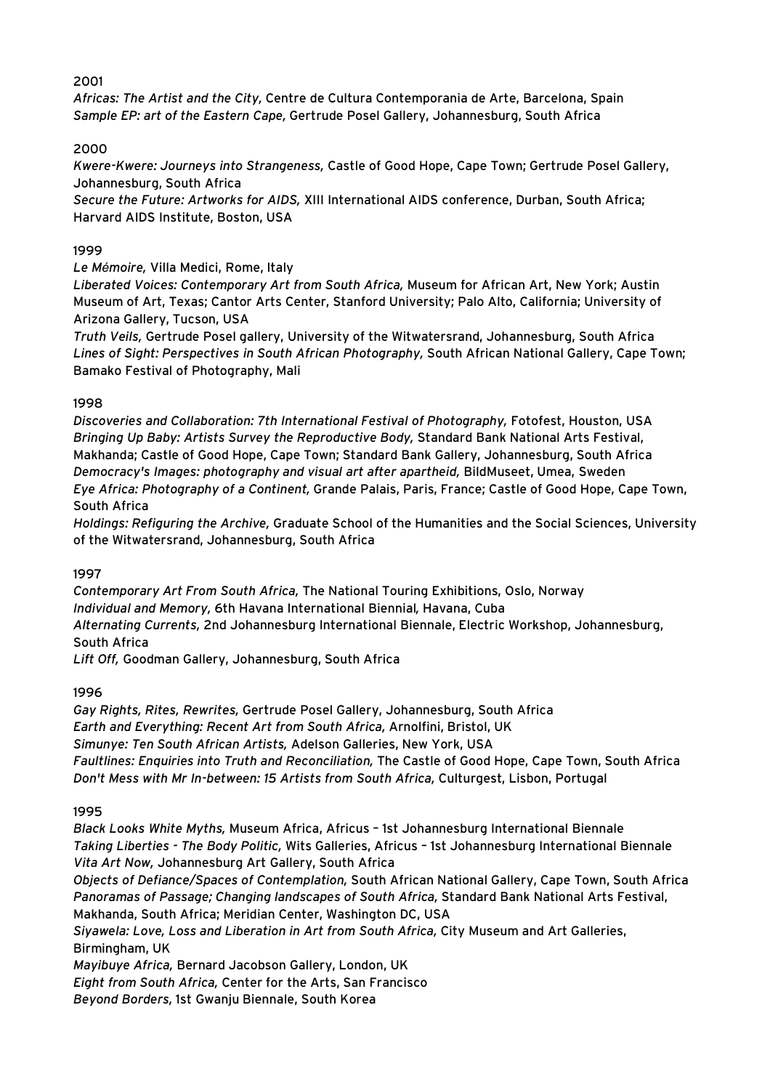### 2001

*Africas: The Artist and the City,* Centre de Cultura Contemporania de Arte, Barcelona, Spain *Sample EP: art of the Eastern Cape,* Gertrude Posel Gallery, Johannesburg, South Africa

### 2000

*Kwere-Kwere: Journeys into Strangeness,* Castle of Good Hope, Cape Town; Gertrude Posel Gallery, Johannesburg, South Africa

*Secure the Future: Artworks for AIDS,* XIII International AIDS conference, Durban, South Africa; Harvard AIDS Institute, Boston, USA

### 1999

*Le Mémoire,* Villa Medici, Rome, Italy

*Liberated Voices: Contemporary Art from South Africa,* Museum for African Art, New York; Austin Museum of Art, Texas; Cantor Arts Center, Stanford University; Palo Alto, California; University of Arizona Gallery, Tucson, USA

*Truth Veils,* Gertrude Posel gallery, University of the Witwatersrand, Johannesburg, South Africa *Lines of Sight: Perspectives in South African Photography,* South African National Gallery, Cape Town; Bamako Festival of Photography, Mali

### 1998

*Discoveries and Collaboration: 7th International Festival of Photography,* Fotofest, Houston, USA *Bringing Up Baby: Artists Survey the Reproductive Body,* Standard Bank National Arts Festival, Makhanda; Castle of Good Hope, Cape Town; Standard Bank Gallery, Johannesburg, South Africa *Democracy's Images: photography and visual art after apartheid,* BildMuseet, Umea, Sweden *Eye Africa: Photography of a Continent,* Grande Palais, Paris, France; Castle of Good Hope, Cape Town, South Africa

*Holdings: Refiguring the Archive,* Graduate School of the Humanities and the Social Sciences, University of the Witwatersrand, Johannesburg, South Africa

### 1997

*Contemporary Art From South Africa,* The National Touring Exhibitions, Oslo, Norway *Individual and Memory,* 6th Havana International Biennial*,* Havana, Cuba *Alternating Currents,* 2nd Johannesburg International Biennale, Electric Workshop, Johannesburg, South Africa

*Lift Off,* Goodman Gallery, Johannesburg, South Africa

### 1996

*Gay Rights, Rites, Rewrites,* Gertrude Posel Gallery, Johannesburg, South Africa *Earth and Everything: Recent Art from South Africa,* Arnolfini, Bristol, UK *Simunye: Ten South African Artists,* Adelson Galleries, New York, USA *Faultlines: Enquiries into Truth and Reconciliation,* The Castle of Good Hope, Cape Town, South Africa *Don't Mess with Mr In-between: 15 Artists from South Africa,* Culturgest, Lisbon, Portugal

### 1995

*Black Looks White Myths,* Museum Africa, Africus – 1st Johannesburg International Biennale *Taking Liberties - The Body Politic,* Wits Galleries, Africus – 1st Johannesburg International Biennale *Vita Art Now,* Johannesburg Art Gallery, South Africa *Objects of Defiance/Spaces of Contemplation,* South African National Gallery, Cape Town, South Africa *Panoramas of Passage; Changing landscapes of South Africa,* Standard Bank National Arts Festival, Makhanda, South Africa; Meridian Center, Washington DC, USA *Siyawela: Love, Loss and Liberation in Art from South Africa,* City Museum and Art Galleries, Birmingham, UK *Mayibuye Africa,* Bernard Jacobson Gallery, London, UK *Eight from South Africa,* Center for the Arts, San Francisco *Beyond Borders,* 1st Gwanju Biennale, South Korea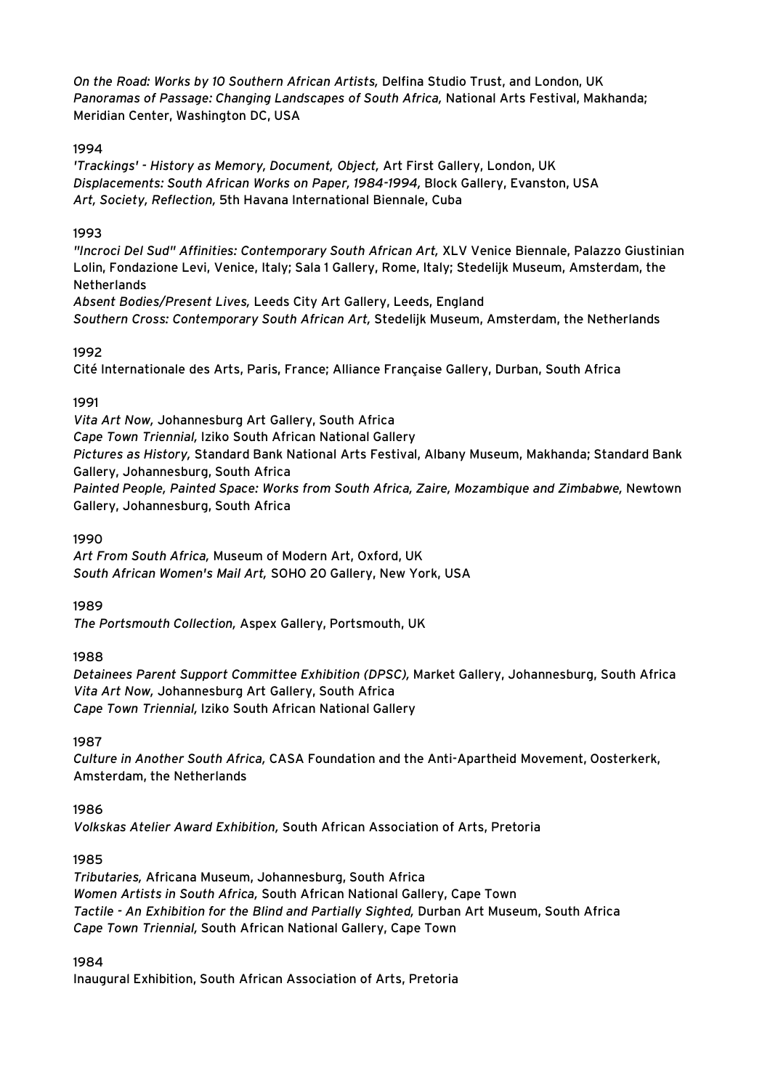*On the Road: Works by 10 Southern African Artists,* Delfina Studio Trust, and London, UK *Panoramas of Passage: Changing Landscapes of South Africa,* National Arts Festival, Makhanda; Meridian Center, Washington DC, USA

### 1994

*'Trackings' - History as Memory, Document, Object,* Art First Gallery, London, UK *Displacements: South African Works on Paper, 1984-1994,* Block Gallery, Evanston, USA *Art, Society, Reflection,* 5th Havana International Biennale, Cuba

### 1993

*"Incroci Del Sud" Affinities: Contemporary South African Art,* XLV Venice Biennale, Palazzo Giustinian Lolin, Fondazione Levi, Venice, Italy; Sala 1 Gallery, Rome, Italy; Stedelijk Museum, Amsterdam, the **Netherlands** 

*Absent Bodies/Present Lives,* Leeds City Art Gallery, Leeds, England *Southern Cross: Contemporary South African Art,* Stedelijk Museum, Amsterdam, the Netherlands

# 1992

Cité Internationale des Arts, Paris, France; Alliance Française Gallery, Durban, South Africa

# 1991

*Vita Art Now,* Johannesburg Art Gallery, South Africa *Cape Town Triennial,* Iziko South African National Gallery *Pictures as History,* Standard Bank National Arts Festival, Albany Museum, Makhanda; Standard Bank Gallery, Johannesburg, South Africa *Painted People, Painted Space: Works from South Africa, Zaire, Mozambique and Zimbabwe,* Newtown Gallery, Johannesburg, South Africa

### 1990

*Art From South Africa,* Museum of Modern Art, Oxford, UK *South African Women's Mail Art,* SOHO 20 Gallery, New York, USA

### 1989

*The Portsmouth Collection,* Aspex Gallery, Portsmouth, UK

### 1988

*Detainees Parent Support Committee Exhibition (DPSC),* Market Gallery, Johannesburg, South Africa *Vita Art Now,* Johannesburg Art Gallery, South Africa *Cape Town Triennial,* Iziko South African National Gallery

1987

*Culture in Another South Africa,* CASA Foundation and the Anti-Apartheid Movement, Oosterkerk, Amsterdam, the Netherlands

# 1986

*Volkskas Atelier Award Exhibition,* South African Association of Arts, Pretoria

### 1985

*Tributaries,* Africana Museum, Johannesburg, South Africa *Women Artists in South Africa,* South African National Gallery, Cape Town *Tactile - An Exhibition for the Blind and Partially Sighted,* Durban Art Museum, South Africa *Cape Town Triennial,* South African National Gallery, Cape Town

1984

Inaugural Exhibition, South African Association of Arts, Pretoria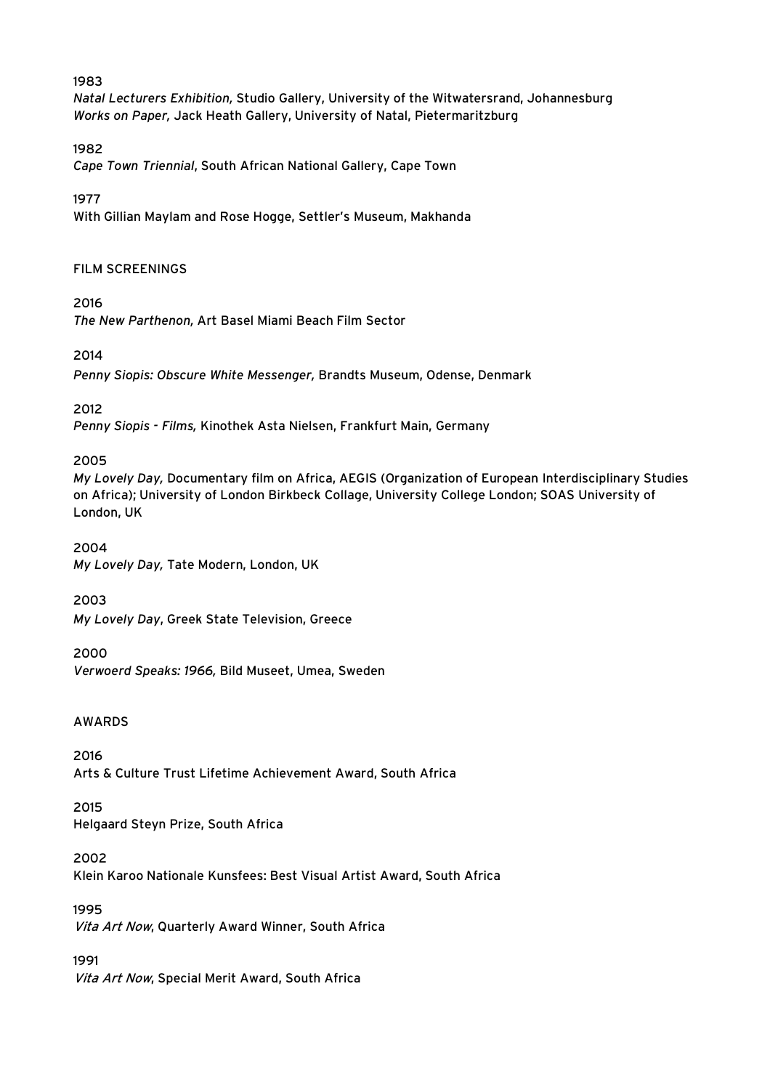### 1983

*Natal Lecturers Exhibition,* Studio Gallery, University of the Witwatersrand, Johannesburg *Works on Paper,* Jack Heath Gallery, University of Natal, Pietermaritzburg

### 1982

*Cape Town Triennial*, South African National Gallery, Cape Town

### 1977

With Gillian Maylam and Rose Hogge, Settler's Museum, Makhanda

### FILM SCREENINGS

2016

*The New Parthenon,* Art Basel Miami Beach Film Sector

### 2014

*Penny Siopis: Obscure White Messenger,* Brandts Museum, Odense, Denmark

2012

*Penny Siopis - Films,* Kinothek Asta Nielsen, Frankfurt Main, Germany

2005

*My Lovely Day,* Documentary film on Africa, AEGIS (Organization of European Interdisciplinary Studies on Africa); University of London Birkbeck Collage, University College London; SOAS University of London, UK

2004 *My Lovely Day,* Tate Modern, London, UK

2003

*My Lovely Day*, Greek State Television, Greece

2000

*Verwoerd Speaks: 1966,* Bild Museet, Umea, Sweden

### AWARDS

2016 Arts & Culture Trust Lifetime Achievement Award, South Africa

2015 Helgaard Steyn Prize, South Africa

2002 Klein Karoo Nationale Kunsfees: Best Visual Artist Award, South Africa

1995 Vita Art Now, Quarterly Award Winner, South Africa

1991 Vita Art Now, Special Merit Award, South Africa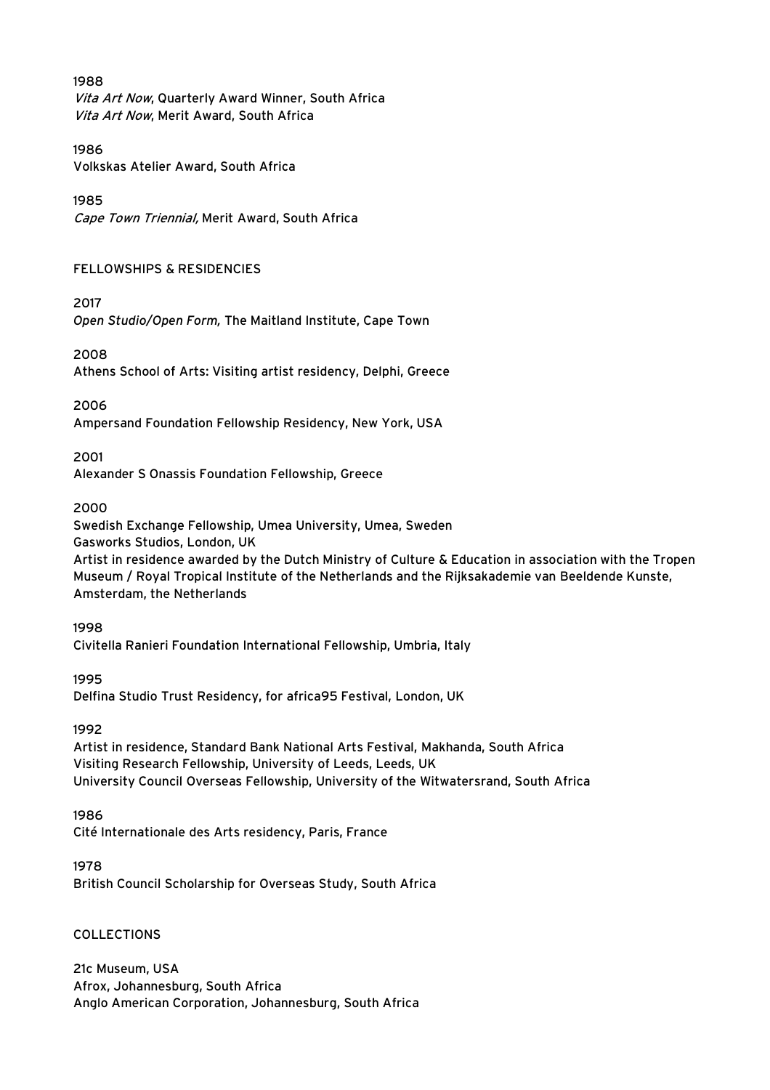### 1988

Vita Art Now, Quarterly Award Winner, South Africa Vita Art Now, Merit Award, South Africa

### 1986

Volkskas Atelier Award, South Africa

### 1985

Cape Town Triennial, Merit Award, South Africa

### FELLOWSHIPS & RESIDENCIES

2017

*Open Studio/Open Form,* The Maitland Institute, Cape Town

# 2008

Athens School of Arts: Visiting artist residency, Delphi, Greece

### 2006

Ampersand Foundation Fellowship Residency, New York, USA

### 2001

Alexander S Onassis Foundation Fellowship, Greece

### 2000

Swedish Exchange Fellowship, Umea University, Umea, Sweden

Gasworks Studios, London, UK

Artist in residence awarded by the Dutch Ministry of Culture & Education in association with the Tropen Museum / Royal Tropical Institute of the Netherlands and the Rijksakademie van Beeldende Kunste, Amsterdam, the Netherlands

### 1998

Civitella Ranieri Foundation International Fellowship, Umbria, Italy

### 1995

Delfina Studio Trust Residency, for africa95 Festival, London, UK

### 1992

Artist in residence, Standard Bank National Arts Festival, Makhanda, South Africa Visiting Research Fellowship, University of Leeds, Leeds, UK University Council Overseas Fellowship, University of the Witwatersrand, South Africa

### 1986

Cité Internationale des Arts residency, Paris, France

### 1978

British Council Scholarship for Overseas Study, South Africa

### COLLECTIONS

21c Museum, USA Afrox, Johannesburg, South Africa Anglo American Corporation, Johannesburg, South Africa